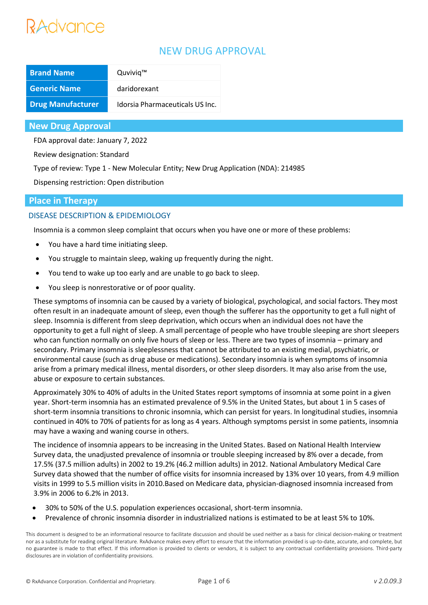# NEW DRUG APPROVAL

| <b>Brand Name</b>        | Quviviq™                        |
|--------------------------|---------------------------------|
| <b>Generic Name</b>      | daridorexant                    |
| <b>Drug Manufacturer</b> | Idorsia Pharmaceuticals US Inc. |

### **New Drug Approval**

FDA approval date: January 7, 2022

Review designation: Standard

Type of review: Type 1 - New Molecular Entity; New Drug Application (NDA): 214985

Dispensing restriction: Open distribution

### **Place in Therapy**

#### DISEASE DESCRIPTION & EPIDEMIOLOGY

Insomnia is a common sleep complaint that occurs when you have one or more of these problems:

- You have a hard time initiating sleep.
- You struggle to maintain sleep, waking up frequently during the night.
- You tend to wake up too early and are unable to go back to sleep.
- You sleep is nonrestorative or of poor quality.

These symptoms of insomnia can be caused by a variety of biological, psychological, and social factors. They most often result in an inadequate amount of sleep, even though the sufferer has the opportunity to get a full night of sleep. Insomnia is different from sleep deprivation, which occurs when an individual does not have the opportunity to get a full night of sleep. A small percentage of people who have trouble sleeping are short sleepers who can function normally on only five hours of sleep or less. There are two types of insomnia – primary and secondary. Primary insomnia is sleeplessness that cannot be attributed to an existing medial, psychiatric, or environmental cause (such as drug abuse or medications). Secondary insomnia is when symptoms of insomnia arise from a primary medical illness, mental disorders, or other sleep disorders. It may also arise from the use, abuse or exposure to certain substances.

Approximately 30% to 40% of adults in the United States report symptoms of insomnia at some point in a given year. Short-term insomnia has an estimated prevalence of 9.5% in the United States, but about 1 in 5 cases of short-term insomnia transitions to chronic insomnia, which can persist for years. In longitudinal studies, insomnia continued in 40% to 70% of patients for as long as 4 years. Although symptoms persist in some patients, insomnia may have a waxing and waning course in others.

The incidence of insomnia appears to be increasing in the United States. Based on National Health Interview Survey data, the unadjusted prevalence of insomnia or trouble sleeping increased by 8% over a decade, from 17.5% (37.5 million adults) in 2002 to 19.2% (46.2 million adults) in 2012. National Ambulatory Medical Care Survey data showed that the number of office visits for insomnia increased by 13% over 10 years, from 4.9 million visits in 1999 to 5.5 million visits in 2010.Based on Medicare data, physician-diagnosed insomnia increased from 3.9% in 2006 to 6.2% in 2013.

- 30% to 50% of the U.S. population experiences occasional, short-term insomnia.
- Prevalence of chronic insomnia disorder in industrialized nations is estimated to be at least 5% to 10%.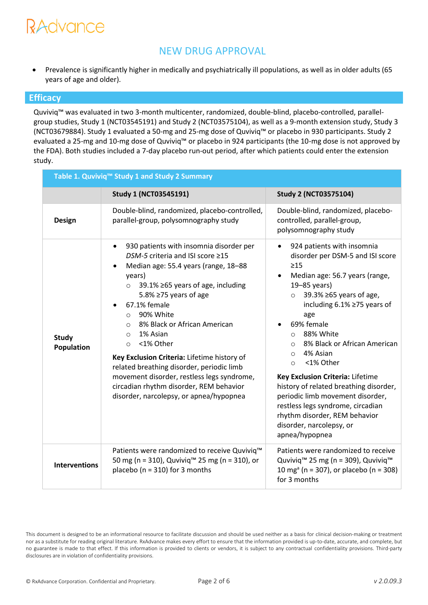## NEW DRUG APPROVAL

• Prevalence is significantly higher in medically and psychiatrically ill populations, as well as in older adults (65 years of age and older).

#### **Efficacy**

Quviviq™ was evaluated in two 3-month multicenter, randomized, double-blind, placebo-controlled, parallelgroup studies, Study 1 (NCT03545191) and Study 2 (NCT03575104), as well as a 9-month extension study, Study 3 (NCT03679884). Study 1 evaluated a 50-mg and 25-mg dose of Quviviq™ or placebo in 930 participants. Study 2 evaluated a 25-mg and 10-mg dose of Quviviq™ or placebo in 924 participants (the 10-mg dose is not approved by the FDA). Both studies included a 7-day placebo run-out period, after which patients could enter the extension study.

| Table 1. Quviviq™ Study 1 and Study 2 Summary |                                                                                                                                                                                                                                                                                                                                                                                                                                                                                                                                                                                                                 |                                                                                                                                                                                                                                                                                                                                                                                                                                                                                                                                                                                     |  |  |  |
|-----------------------------------------------|-----------------------------------------------------------------------------------------------------------------------------------------------------------------------------------------------------------------------------------------------------------------------------------------------------------------------------------------------------------------------------------------------------------------------------------------------------------------------------------------------------------------------------------------------------------------------------------------------------------------|-------------------------------------------------------------------------------------------------------------------------------------------------------------------------------------------------------------------------------------------------------------------------------------------------------------------------------------------------------------------------------------------------------------------------------------------------------------------------------------------------------------------------------------------------------------------------------------|--|--|--|
|                                               | <b>Study 1 (NCT03545191)</b>                                                                                                                                                                                                                                                                                                                                                                                                                                                                                                                                                                                    | <b>Study 2 (NCT03575104)</b>                                                                                                                                                                                                                                                                                                                                                                                                                                                                                                                                                        |  |  |  |
| <b>Design</b>                                 | Double-blind, randomized, placebo-controlled,<br>parallel-group, polysomnography study                                                                                                                                                                                                                                                                                                                                                                                                                                                                                                                          | Double-blind, randomized, placebo-<br>controlled, parallel-group,<br>polysomnography study                                                                                                                                                                                                                                                                                                                                                                                                                                                                                          |  |  |  |
| <b>Study</b><br><b>Population</b>             | 930 patients with insomnia disorder per<br>$\bullet$<br>DSM-5 criteria and ISI score ≥15<br>Median age: 55.4 years (range, 18-88<br>$\bullet$<br>years)<br>39.1% ≥65 years of age, including<br>$\circ$<br>5.8% ≥75 years of age<br>67.1% female<br>$\bullet$<br>90% White<br>$\circ$<br>8% Black or African American<br>$\circ$<br>1% Asian<br>$\circ$<br><1% Other<br>$\circ$<br>Key Exclusion Criteria: Lifetime history of<br>related breathing disorder, periodic limb<br>movement disorder, restless legs syndrome,<br>circadian rhythm disorder, REM behavior<br>disorder, narcolepsy, or apnea/hypopnea | 924 patients with insomnia<br>$\bullet$<br>disorder per DSM-5 and ISI score<br>$\geq$ 15<br>Median age: 56.7 years (range,<br>19-85 years)<br>39.3% ≥65 years of age,<br>$\circ$<br>including 6.1% ≥75 years of<br>age<br>69% female<br>88% White<br>$\circ$<br>○ 8% Black or African American<br>4% Asian<br>$\circ$<br><1% Other<br>$\circ$<br>Key Exclusion Criteria: Lifetime<br>history of related breathing disorder,<br>periodic limb movement disorder,<br>restless legs syndrome, circadian<br>rhythm disorder, REM behavior<br>disorder, narcolepsy, or<br>apnea/hypopnea |  |  |  |
| <b>Interventions</b>                          | Patients were randomized to receive Quviviq™<br>50 mg (n = 310), Quviviq <sup>™</sup> 25 mg (n = 310), or<br>placebo ( $n = 310$ ) for 3 months                                                                                                                                                                                                                                                                                                                                                                                                                                                                 | Patients were randomized to receive<br>Quviviq <sup>™</sup> 25 mg (n = 309), Quviviq <sup>™</sup><br>10 mg <sup>a</sup> (n = 307), or placebo (n = 308)<br>for 3 months                                                                                                                                                                                                                                                                                                                                                                                                             |  |  |  |

This document is designed to be an informational resource to facilitate discussion and should be used neither as a basis for clinical decision-making or treatment nor as a substitute for reading original literature. RxAdvance makes every effort to ensure that the information provided is up-to-date, accurate, and complete, but no guarantee is made to that effect. If this information is provided to clients or vendors, it is subject to any contractual confidentiality provisions. Third-party disclosures are in violation of confidentiality provisions.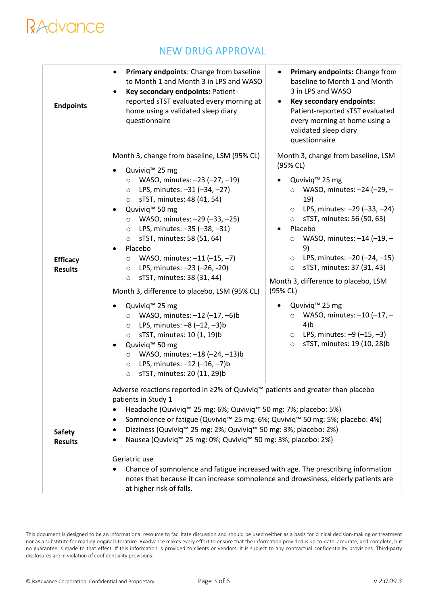## NEW DRUG APPROVAL

| <b>Endpoints</b>                  | Primary endpoints: Change from baseline<br>٠<br>to Month 1 and Month 3 in LPS and WASO<br>Key secondary endpoints: Patient-<br>$\bullet$<br>reported sTST evaluated every morning at<br>home using a validated sleep diary<br>questionnaire                                                                                                                                                                                                                                                                                                                                                                                                                                                                                                                                                                                                                             | Primary endpoints: Change from<br>$\bullet$<br>baseline to Month 1 and Month<br>3 in LPS and WASO<br>Key secondary endpoints:<br>$\bullet$<br>Patient-reported sTST evaluated<br>every morning at home using a<br>validated sleep diary<br>questionnaire                                                                                                                                                                                                                                                                                                                    |
|-----------------------------------|-------------------------------------------------------------------------------------------------------------------------------------------------------------------------------------------------------------------------------------------------------------------------------------------------------------------------------------------------------------------------------------------------------------------------------------------------------------------------------------------------------------------------------------------------------------------------------------------------------------------------------------------------------------------------------------------------------------------------------------------------------------------------------------------------------------------------------------------------------------------------|-----------------------------------------------------------------------------------------------------------------------------------------------------------------------------------------------------------------------------------------------------------------------------------------------------------------------------------------------------------------------------------------------------------------------------------------------------------------------------------------------------------------------------------------------------------------------------|
| <b>Efficacy</b><br><b>Results</b> | Month 3, change from baseline, LSM (95% CL)<br>Quviviq <sup>™</sup> 25 mg<br>O WASO, minutes: -23 (-27, -19)<br>LPS, minutes: -31 (-34, -27)<br>$\circ$<br>$\circ$ sTST, minutes: 48 (41, 54)<br>Quviviq <sup>™</sup> 50 mg<br>WASO, minutes: -29 (-33, -25)<br>$\circ$<br>LPS, minutes: -35 (-38, -31)<br>$\circ$<br>$\circ$ sTST, minutes: 58 (51, 64)<br>Placebo<br>$\circ$ WASO, minutes: -11 (-15, -7)<br>LPS, minutes: -23 (-26, -20)<br>$\circ$<br>sTST, minutes: 38 (31, 44)<br>$\circ$<br>Month 3, difference to placebo, LSM (95% CL)<br>Quviviq <sup>™</sup> 25 mg<br>$\bullet$<br>○ WASO, minutes: -12 (-17, -6)b<br>LPS, minutes: -8 (-12, -3)b<br>$\circ$<br>sTST, minutes: 10 (1, 19)b<br>$\circ$<br>Quviviq <sup>™</sup> 50 mg<br>O WASO, minutes: -18 (-24, -13)b<br>LPS, minutes: -12 (-16, -7)b<br>$\circ$<br>sTST, minutes: 20 (11, 29)b<br>$\circ$ | Month 3, change from baseline, LSM<br>(95% CL)<br>Quviviq <sup>™</sup> 25 mg<br>WASO, minutes: -24 (-29, -<br>$\circ$<br>19)<br>○ LPS, minutes: -29 (-33, -24)<br>sTST, minutes: 56 (50, 63)<br>$\circ$<br>Placebo<br>WASO, minutes: -14 (-19, -<br>$\circ$<br>9)<br>LPS, minutes: -20 (-24, -15)<br>$\circ$<br>sTST, minutes: 37 (31, 43)<br>$\circ$<br>Month 3, difference to placebo, LSM<br>(95% CL)<br>Quviviq <sup>™</sup> 25 mg<br>WASO, minutes: -10 (-17, -<br>$\circ$<br>$4$ )b<br>$O$ LPS, minutes: $-9$ ( $-15, -3$ )<br>sTST, minutes: 19 (10, 28)b<br>$\circ$ |
| <b>Safety</b><br><b>Results</b>   | Adverse reactions reported in ≥2% of Quviviq™ patients and greater than placebo<br>patients in Study 1<br>Headache (Quviviq™ 25 mg: 6%; Quviviq™ 50 mg: 7%; placebo: 5%)<br>Somnolence or fatigue (Quviviq™ 25 mg: 6%; Quviviq™ 50 mg: 5%; placebo: 4%)<br>٠<br>Dizziness (Quviviq <sup>™</sup> 25 mg: 2%; Quviviq™ 50 mg: 3%; placebo: 2%)<br>٠<br>Nausea (Quviviq™ 25 mg: 0%; Quviviq™ 50 mg: 3%; placebo: 2%)<br>٠<br>Geriatric use<br>Chance of somnolence and fatigue increased with age. The prescribing information<br>notes that because it can increase somnolence and drowsiness, elderly patients are<br>at higher risk of falls.                                                                                                                                                                                                                            |                                                                                                                                                                                                                                                                                                                                                                                                                                                                                                                                                                             |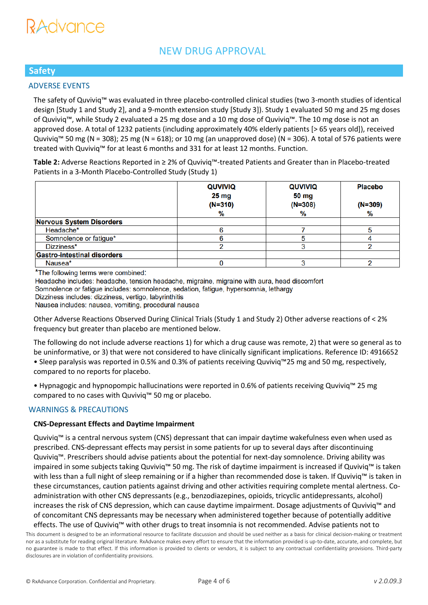## **Safety**

### ADVERSE EVENTS

The safety of Quviviq™ was evaluated in three placebo-controlled clinical studies (two 3-month studies of identical design [Study 1 and Study 2], and a 9-month extension study [Study 3]). Study 1 evaluated 50 mg and 25 mg doses of Quviviq™, while Study 2 evaluated a 25 mg dose and a 10 mg dose of Quviviq™. The 10 mg dose is not an approved dose. A total of 1232 patients (including approximately 40% elderly patients [> 65 years old]), received Quviviq™ 50 mg (N = 308); 25 mg (N = 618); or 10 mg (an unapproved dose) (N = 306). A total of 576 patients were treated with Quviviq™ for at least 6 months and 331 for at least 12 months. Function.

**Table 2:** Adverse Reactions Reported in ≥ 2% of Quviviq™-treated Patients and Greater than in Placebo-treated Patients in a 3-Month Placebo-Controlled Study (Study 1)

|                                    | <b>QUVIVIQ</b><br>25 <sub>mg</sub><br>$(N=310)$<br>% | <b>QUVIVIQ</b><br>50 <sub>mg</sub><br>$(N=308)$<br>% | <b>Placebo</b><br>$(N=309)$<br>% |
|------------------------------------|------------------------------------------------------|------------------------------------------------------|----------------------------------|
| <b>Nervous System Disorders</b>    |                                                      |                                                      |                                  |
| Headache*                          |                                                      |                                                      |                                  |
| Somnolence or fatigue*             |                                                      |                                                      |                                  |
| Dizziness*                         |                                                      |                                                      |                                  |
| <b>Gastro-intestinal disorders</b> |                                                      |                                                      |                                  |
| Nausea <sup>*</sup>                |                                                      |                                                      |                                  |

\*The following terms were combined:

Headache includes: headache, tension headache, migraine, migraine with aura, head discomfort Somnolence or fatigue includes: somnolence, sedation, fatigue, hypersomnia, lethargy Dizziness includes: dizziness, vertigo, labyrinthitis Nausea includes: nausea, vomiting, procedural nausea

Other Adverse Reactions Observed During Clinical Trials (Study 1 and Study 2) Other adverse reactions of < 2% frequency but greater than placebo are mentioned below.

The following do not include adverse reactions 1) for which a drug cause was remote, 2) that were so general as to be uninformative, or 3) that were not considered to have clinically significant implications. Reference ID: 4916652 • Sleep paralysis was reported in 0.5% and 0.3% of patients receiving Quviviq™25 mg and 50 mg, respectively, compared to no reports for placebo.

• Hypnagogic and hypnopompic hallucinations were reported in 0.6% of patients receiving Quviviq™ 25 mg compared to no cases with Quviviq™ 50 mg or placebo.

#### WARNINGS & PRECAUTIONS

#### **CNS-Depressant Effects and Daytime Impairment**

Quviviq™ is a central nervous system (CNS) depressant that can impair daytime wakefulness even when used as prescribed. CNS-depressant effects may persist in some patients for up to several days after discontinuing Quviviq™. Prescribers should advise patients about the potential for next-day somnolence. Driving ability was impaired in some subjects taking Quviviq™ 50 mg. The risk of daytime impairment is increased if Quviviq™ is taken with less than a full night of sleep remaining or if a higher than recommended dose is taken. If Quviviq™ is taken in these circumstances, caution patients against driving and other activities requiring complete mental alertness. Coadministration with other CNS depressants (e.g., benzodiazepines, opioids, tricyclic antidepressants, alcohol) increases the risk of CNS depression, which can cause daytime impairment. Dosage adjustments of Quviviq™ and of concomitant CNS depressants may be necessary when administered together because of potentially additive effects. The use of Quviviq™ with other drugs to treat insomnia is not recommended. Advise patients not to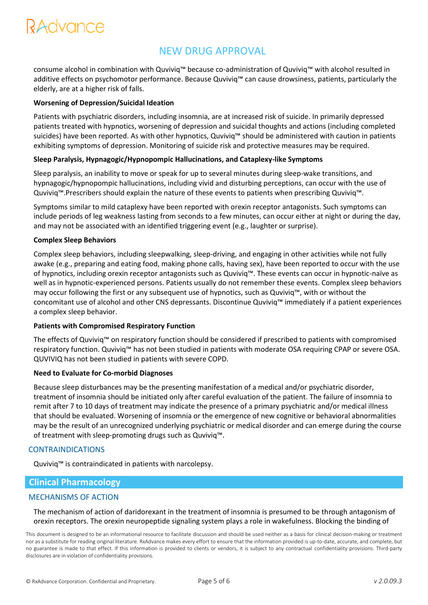## NEW DRUG APPROVAL

consume alcohol in combination with Quviviq™ because co-administration of Quviviq™ with alcohol resulted in additive effects on psychomotor performance. Because Quviviq™ can cause drowsiness, patients, particularly the elderly, are at a higher risk of falls.

#### **Worsening of Depression/Suicidal Ideation**

Patients with psychiatric disorders, including insomnia, are at increased risk of suicide. In primarily depressed patients treated with hypnotics, worsening of depression and suicidal thoughts and actions (including completed suicides) have been reported. As with other hypnotics, Quviviq™ should be administered with caution in patients exhibiting symptoms of depression. Monitoring of suicide risk and protective measures may be required.

#### **Sleep Paralysis, Hypnagogic/Hypnopompic Hallucinations, and Cataplexy-like Symptoms**

Sleep paralysis, an inability to move or speak for up to several minutes during sleep-wake transitions, and hypnagogic/hypnopompic hallucinations, including vivid and disturbing perceptions, can occur with the use of Quviviq™.Prescribers should explain the nature of these events to patients when prescribing Quviviq™.

Symptoms similar to mild cataplexy have been reported with orexin receptor antagonists. Such symptoms can include periods of leg weakness lasting from seconds to a few minutes, can occur either at night or during the day, and may not be associated with an identified triggering event (e.g., laughter or surprise).

#### **Complex Sleep Behaviors**

Complex sleep behaviors, including sleepwalking, sleep-driving, and engaging in other activities while not fully awake (e.g., preparing and eating food, making phone calls, having sex), have been reported to occur with the use of hypnotics, including orexin receptor antagonists such as Quviviq™. These events can occur in hypnotic-naïve as well as in hypnotic-experienced persons. Patients usually do not remember these events. Complex sleep behaviors may occur following the first or any subsequent use of hypnotics, such as Quviviq™, with or without the concomitant use of alcohol and other CNS depressants. Discontinue Quviviq™ immediately if a patient experiences a complex sleep behavior.

#### **Patients with Compromised Respiratory Function**

The effects of Quviviq™ on respiratory function should be considered if prescribed to patients with compromised respiratory function. Quviviq™ has not been studied in patients with moderate OSA requiring CPAP or severe OSA. QUVIVIQ has not been studied in patients with severe COPD.

#### **Need to Evaluate for Co-morbid Diagnoses**

Because sleep disturbances may be the presenting manifestation of a medical and/or psychiatric disorder, treatment of insomnia should be initiated only after careful evaluation of the patient. The failure of insomnia to remit after 7 to 10 days of treatment may indicate the presence of a primary psychiatric and/or medical illness that should be evaluated. Worsening of insomnia or the emergence of new cognitive or behavioral abnormalities may be the result of an unrecognized underlying psychiatric or medical disorder and can emerge during the course of treatment with sleep-promoting drugs such as Quviviq™.

#### CONTRAINDICATIONS

Quviviq™ is contraindicated in patients with narcolepsy.

### **Clinical Pharmacology**

#### MECHANISMS OF ACTION

The mechanism of action of daridorexant in the treatment of insomnia is presumed to be through antagonism of orexin receptors. The orexin neuropeptide signaling system plays a role in wakefulness. Blocking the binding of